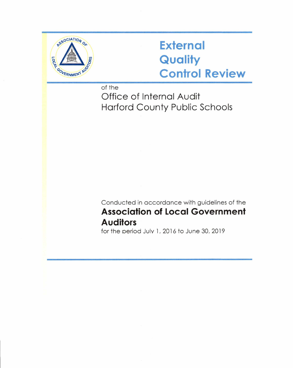

## **External Quality Control Review**

of the

Office of Internal Audit Harford County Public Schools

Conducted in accordance with guidelines of the **Association of Local Government Auditors** 

for the period Julv 1, 2016 to June 30, 2019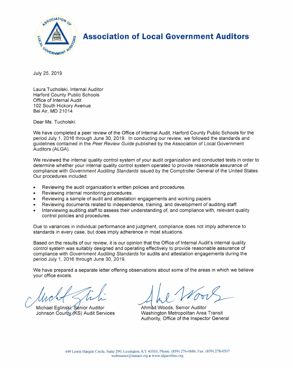

**Association of Local Government Auditors** 

July 25, 2019

Laura Tucholski, Internal Auditor Harford County Public Schools Office of Internal Audit 102 South Hickory Avenue Bel Air, MD 21014

Dear Ms. Tucholski:

We have completed a peer review of the Office of Internal Audit, Harford County Public Schools for the period July 1, 2016 through June 30, 2019. In conducting our review, we followed the standards and guidelines contained in the Peer Review Guide published by the Association of Local Government Auditors (ALGA).

We reviewed the internal quality control system of your audit organization and conducted tests in order to determine whether your internal quality control system operated to provide reasonable assurance of compliance with Government Auditing Standards issued by the Comptroller General of the United States. Our procedures included:

- Reviewing the audit organization's written policies and procedures.
- Reviewing internal monitoring procedures.
- Reviewing a sample of audit and attestation engagements and working papers.
- Reviewing documents related to independence, training, and development of auditing staff.
- Interviewing auditing staff to assess their understanding of, and compliance with, relevant quality control policies and procedures.

Due to variances in individual performance and judgment, compliance does not imply adherence to standards in every case, but does imply adherence in most situations.

Based on the results of our review, it is our opinion that the Office of Internal Audit's internal quality control system was suitably designed and operating effectively to provide reasonable assurance of compliance with Government Auditing Standards for audits and attestation engagements during the period July 1, 2016 through June 30, 2019.

We have prepared a separate letter offering observations about some of the areas in which we believe your office excels.

Michael Eglinski, Senior Auditor Johnson County (KS) Audit Services

Ahmad Woods, Senior Auditor<br>Washington Metropolitan Area Transit Authority, Office of the Inspector General